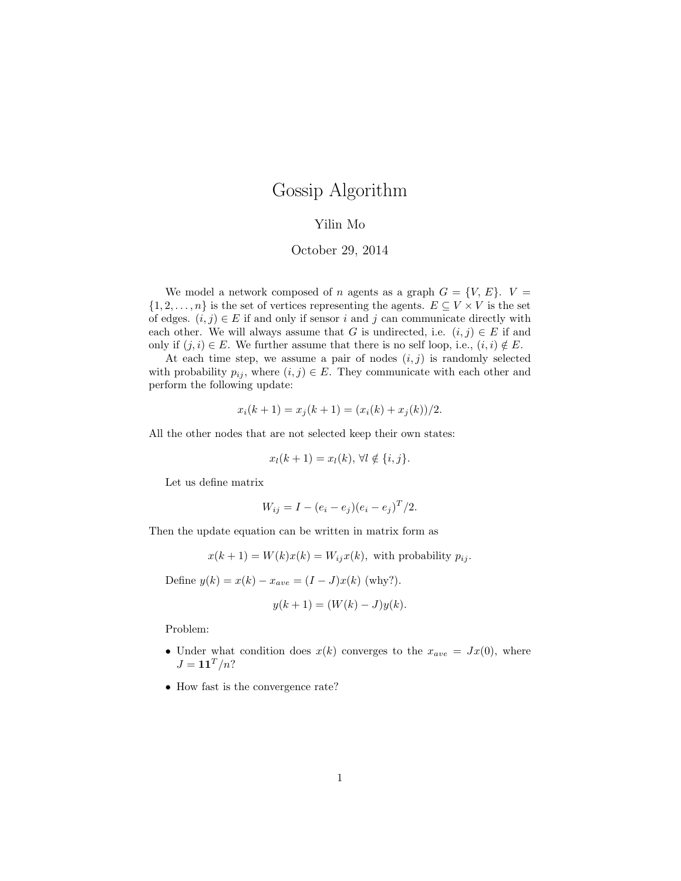# Gossip Algorithm

### Yilin Mo

#### October 29, 2014

We model a network composed of n agents as a graph  $G = \{V, E\}$ .  $V =$  $\{1, 2, \ldots, n\}$  is the set of vertices representing the agents.  $E \subseteq V \times V$  is the set of edges.  $(i, j) \in E$  if and only if sensor i and j can communicate directly with each other. We will always assume that G is undirected, i.e.  $(i, j) \in E$  if and only if  $(j, i) \in E$ . We further assume that there is no self loop, i.e.,  $(i, i) \notin E$ .

At each time step, we assume a pair of nodes  $(i, j)$  is randomly selected with probability  $p_{ij}$ , where  $(i, j) \in E$ . They communicate with each other and perform the following update:

$$
x_i(k + 1) = x_j(k + 1) = (x_i(k) + x_j(k))/2.
$$

All the other nodes that are not selected keep their own states:

$$
x_l(k+1) = x_l(k), \forall l \notin \{i, j\}.
$$

Let us define matrix

$$
W_{ij} = I - (e_i - e_j)(e_i - e_j)^T/2.
$$

Then the update equation can be written in matrix form as

$$
x(k+1) = W(k)x(k) = W_{ij}x(k)
$$
, with probability  $p_{ij}$ .

Define  $y(k) = x(k) - x_{ave} = (I - J)x(k)$  (why?).

$$
y(k+1) = (W(k) - J)y(k).
$$

Problem:

- Under what condition does  $x(k)$  converges to the  $x_{ave} = Jx(0)$ , where  $J = \mathbf{1} \mathbf{1}^T / n$ ?
- How fast is the convergence rate?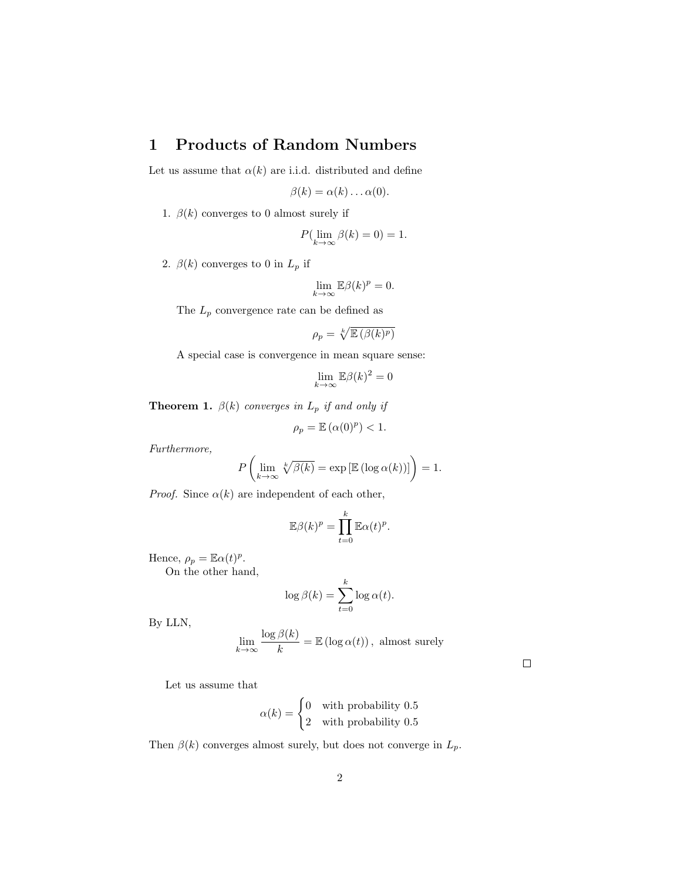### 1 Products of Random Numbers

Let us assume that  $\alpha(k)$  are i.i.d. distributed and define

$$
\beta(k) = \alpha(k) \dots \alpha(0).
$$

1.  $\beta(k)$  converges to 0 almost surely if

$$
P(\lim_{k \to \infty} \beta(k) = 0) = 1.
$$

2.  $\beta(k)$  converges to 0 in  $L_p$  if

$$
\lim_{k \to \infty} \mathbb{E}\beta(k)^p = 0.
$$

The  $\mathcal{L}_p$  convergence rate can be defined as

$$
\rho_p = \sqrt[k]{\mathbb{E}\left(\beta(k)^p\right)}
$$

A special case is convergence in mean square sense:

$$
\lim_{k \to \infty} \mathbb{E}\beta(k)^2 = 0
$$

**Theorem 1.**  $\beta(k)$  converges in  $L_p$  if and only if

$$
\rho_p = \mathbb{E}\left(\alpha(0)^p\right) < 1.
$$

Furthermore,

$$
P\left(\lim_{k\to\infty}\sqrt[k]{\beta(k)}=\exp\left[\mathbb{E}\left(\log\alpha(k)\right)\right]\right)=1.
$$

*Proof.* Since  $\alpha(k)$  are independent of each other,

$$
\mathbb{E}\beta(k)^p = \prod_{t=0}^k \mathbb{E}\alpha(t)^p.
$$

Hence,  $\rho_p = \mathbb{E}\alpha(t)^p$ .

On the other hand,

$$
\log \beta(k) = \sum_{t=0}^{k} \log \alpha(t).
$$

By LLN,

$$
\lim_{k \to \infty} \frac{\log \beta(k)}{k} = \mathbb{E} (\log \alpha(t)), \text{ almost surely}
$$

 $\Box$ 

Let us assume that

$$
\alpha(k) = \begin{cases} 0 & \text{with probability } 0.5\\ 2 & \text{with probability } 0.5 \end{cases}
$$

Then  $\beta(k)$  converges almost surely, but does not converge in  $L_p$ .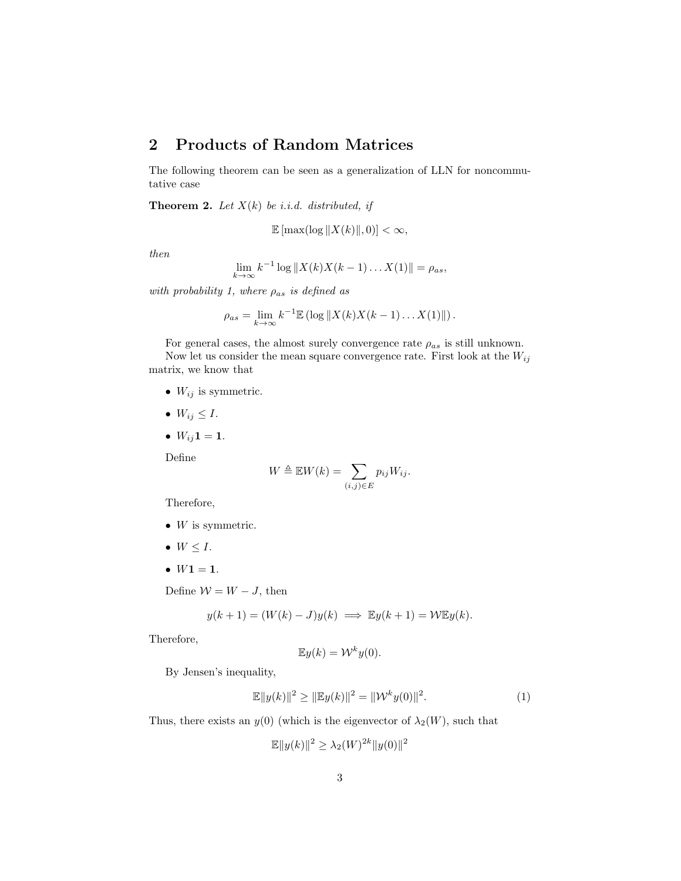## 2 Products of Random Matrices

The following theorem can be seen as a generalization of LLN for noncommutative case

**Theorem 2.** Let  $X(k)$  be i.i.d. distributed, if

$$
\mathbb{E}\left[\max(\log\|X(k)\|,0)\right]<\infty,
$$

then

$$
\lim_{k \to \infty} k^{-1} \log ||X(k)X(k-1)...X(1)|| = \rho_{as},
$$

with probability 1, where  $\rho_{as}$  is defined as

$$
\rho_{as} = \lim_{k \to \infty} k^{-1} \mathbb{E} \left( \log \left\| X(k) X(k-1) \dots X(1) \right\| \right).
$$

For general cases, the almost surely convergence rate  $\rho_{as}$  is still unknown. Now let us consider the mean square convergence rate. First look at the  $W_{ij}$ matrix, we know that

- $\bullet \;\; W_{ij}$  is symmetric.
- $W_{ij} \leq I$ .
- $W_{ij}1 = 1$ .

Define

$$
W \triangleq \mathbb{E}W(k) = \sum_{(i,j)\in E} p_{ij}W_{ij}.
$$

Therefore,

- $W$  is symmetric.
- $W \leq I$ .
- $W1 = 1$ .

Define  $W = W - J$ , then

$$
y(k+1) = (W(k) - J)y(k) \implies \mathbb{E}y(k+1) = \mathcal{W}\mathbb{E}y(k).
$$

Therefore,

$$
\mathbb{E}y(k) = \mathcal{W}^k y(0).
$$

By Jensen's inequality,

$$
\mathbb{E}\|y(k)\|^2 \ge \|\mathbb{E}y(k)\|^2 = \|\mathcal{W}^k y(0)\|^2. \tag{1}
$$

Thus, there exists an  $y(0)$  (which is the eigenvector of  $\lambda_2(W)$ , such that

$$
\mathbb{E}||y(k)||^2 \ge \lambda_2(W)^{2k} ||y(0)||^2
$$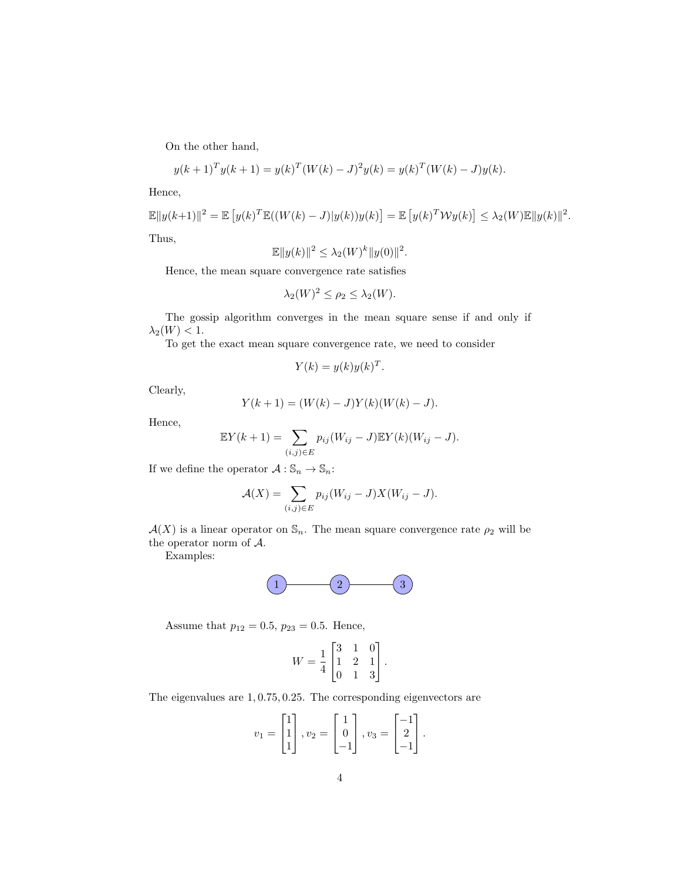On the other hand,

$$
y(k+1)^{T}y(k+1) = y(k)^{T}(W(k) - J)^{2}y(k) = y(k)^{T}(W(k) - J)y(k).
$$

Hence,

$$
\mathbb{E}||y(k+1)||^2 = \mathbb{E}\left[y(k)^T \mathbb{E}((W(k) - J)|y(k))y(k)\right] = \mathbb{E}\left[y(k)^T \mathcal{W}y(k)\right] \le \lambda_2(W)\mathbb{E}||y(k)||^2.
$$
  
Thus,

$$
\mathbb{E}||y(k)||^2 \leq \lambda_2(W)^k ||y(0)||^2.
$$

Hence, the mean square convergence rate satisfies

$$
\lambda_2(W)^2 \le \rho_2 \le \lambda_2(W).
$$

The gossip algorithm converges in the mean square sense if and only if  $\lambda_2(W) < 1.$ 

To get the exact mean square convergence rate, we need to consider

$$
Y(k) = y(k)y(k)^T.
$$

Clearly,

$$
Y(k + 1) = (W(k) – J)Y(k)(W(k) – J).
$$

Hence,

$$
\mathbb{E}Y(k+1) = \sum_{(i,j)\in E} p_{ij}(W_{ij} - J)\mathbb{E}Y(k)(W_{ij} - J).
$$

If we define the operator  $\mathcal{A}:\mathbb{S}_n\to\mathbb{S}_n:$ 

$$
\mathcal{A}(X) = \sum_{(i,j)\in E} p_{ij}(W_{ij} - J)X(W_{ij} - J).
$$

 $\mathcal{A}(X)$  is a linear operator on  $\mathbb{S}_n$ . The mean square convergence rate  $\rho_2$  will be the operator norm of A.

Examples:



Assume that  $p_{12} = 0.5$ ,  $p_{23} = 0.5$ . Hence,

$$
W = \frac{1}{4} \begin{bmatrix} 3 & 1 & 0 \\ 1 & 2 & 1 \\ 0 & 1 & 3 \end{bmatrix}.
$$

The eigenvalues are 1, 0.75, 0.25. The corresponding eigenvectors are

$$
v_1 = \begin{bmatrix} 1 \\ 1 \\ 1 \end{bmatrix}, v_2 = \begin{bmatrix} 1 \\ 0 \\ -1 \end{bmatrix}, v_3 = \begin{bmatrix} -1 \\ 2 \\ -1 \end{bmatrix}.
$$